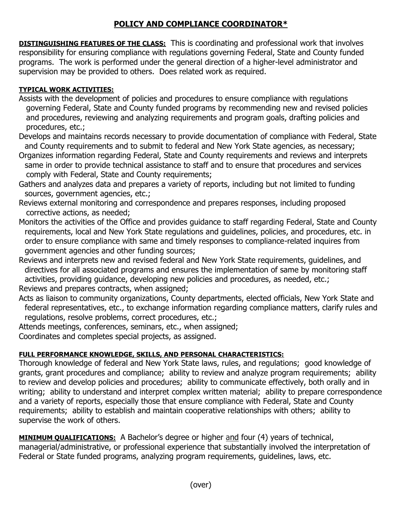## **POLICY AND COMPLIANCE COORDINATOR\***

**DISTINGUISHING FEATURES OF THE CLASS:** This is coordinating and professional work that involves responsibility for ensuring compliance with regulations governing Federal, State and County funded programs. The work is performed under the general direction of a higher-level administrator and supervision may be provided to others. Does related work as required.

## **TYPICAL WORK ACTIVITIES:**

- Assists with the development of policies and procedures to ensure compliance with regulations governing Federal, State and County funded programs by recommending new and revised policies and procedures, reviewing and analyzing requirements and program goals, drafting policies and procedures, etc.;
- Develops and maintains records necessary to provide documentation of compliance with Federal, State and County requirements and to submit to federal and New York State agencies, as necessary;
- Organizes information regarding Federal, State and County requirements and reviews and interprets same in order to provide technical assistance to staff and to ensure that procedures and services comply with Federal, State and County requirements;
- Gathers and analyzes data and prepares a variety of reports, including but not limited to funding sources, government agencies, etc.;
- Reviews external monitoring and correspondence and prepares responses, including proposed corrective actions, as needed;
- Monitors the activities of the Office and provides guidance to staff regarding Federal, State and County requirements, local and New York State regulations and guidelines, policies, and procedures, etc. in order to ensure compliance with same and timely responses to compliance-related inquires from government agencies and other funding sources;

Reviews and interprets new and revised federal and New York State requirements, guidelines, and directives for all associated programs and ensures the implementation of same by monitoring staff activities, providing guidance, developing new policies and procedures, as needed, etc.; Reviews and prepares contracts, when assigned;

- Acts as liaison to community organizations, County departments, elected officials, New York State and federal representatives, etc., to exchange information regarding compliance matters, clarify rules and regulations, resolve problems, correct procedures, etc.;
- Attends meetings, conferences, seminars, etc., when assigned;
- Coordinates and completes special projects, as assigned.

## **FULL PERFORMANCE KNOWLEDGE, SKILLS, AND PERSONAL CHARACTERISTICS:**

Thorough knowledge of federal and New York State laws, rules, and regulations; good knowledge of grants, grant procedures and compliance; ability to review and analyze program requirements; ability to review and develop policies and procedures; ability to communicate effectively, both orally and in writing; ability to understand and interpret complex written material; ability to prepare correspondence and a variety of reports, especially those that ensure compliance with Federal, State and County requirements; ability to establish and maintain cooperative relationships with others; ability to supervise the work of others.

**MINIMUM QUALIFICATIONS:** A Bachelor's degree or higher and four (4) years of technical, managerial/administrative, or professional experience that substantially involved the interpretation of Federal or State funded programs, analyzing program requirements, guidelines, laws, etc.